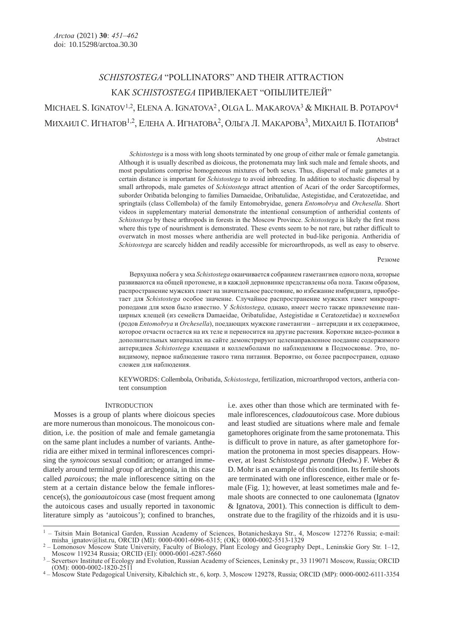# SCHISTOSTEGA "POLLINATORS" AND THEIR ATTRACTION КАК SCHISTOSTEGA ПРИВЛЕКАЕТ "ОПЫЛИТЕЛЕЙ" MICHAEL S. IGNATOV<sup>1,2</sup>, ELENA A. IGNATOVA<sup>2</sup>, OLGA L. MAKAROVA<sup>3</sup> & MIKHAIL B. POTAPOV<sup>4</sup> МИХАИЛ С. ИГНАТОВ<sup>1,2</sup>, ЕЛЕНА А. ИГНАТОВА<sup>2</sup>, ОЛЬГА Л. МАКАРОВА<sup>3</sup>, МИХАИЛ Б. ПОТАПОВ<sup>4</sup>

#### Abstract

Schistostega is a moss with long shoots terminated by one group of either male or female gametangia. Although it is usually described as dioicous, the protonemata may link such male and female shoots, and most populations comprise homogeneous mixtures of both sexes. Thus, dispersal of male gametes at a certain distance is important for Schistostega to avoid inbreeding. In addition to stochastic dispersal by small arthropods, male gametes of *Schistostega* attract attention of Acari of the order Sarcoptiformes, suborder Oribatida belonging to families Damaeidae, Oribatulidae, Astegistidae, and Ceratozetidae, and springtails (class Collembola) of the family Entomobryidae, genera *Entomobrya* and Orchesella. Short videos in supplementary material demonstrate the intentional consumption of antheridial contents of Schistostega by these arthropods in forests in the Moscow Province. Schistostega is likely the first moss where this type of nourishment is demonstrated. These events seem to be not rare, but rather difficult to overwatch in most mosses where antheridia are well protected in bud-like perigonia. Antheridia of Schistostega are scarcely hidden and readily accessible for microarthropods, as well as easy to observe.

#### Резюме

Верхушка побега у мха Schistostega оканчивается собранием гаметангиев одного пола, которые развиваются на общей протонеме, и в каждой дерновинке представлены оба пола. Таким образом, распространение мужских гамет на значительное расстояние, во избежание имбридинга, приобретает для Schistostega особое значение. Случайное распространение мужских гамет микроартроподами для мхов было известно. У Schistostega, однако, имеет место также привлечение панцирных клещей (из семейств Damaeidae, Oribatulidae, Astegistidae и Ceratozetidae) и коллембол (родов Entomobrya и Orchesella), поедающих мужские гаметангии – антеридии и их содержимое, которое отчасти остается на их теле и переносится на другие растения. Короткие видео-ролики в дополнительных материалах на сайте демонстрируют целенаправленное поедание содержимого антеридиев Schistostega клещами и коллемболами по наблюдениям в Подмосковье. Это, повидимому, первое наблюдение такого типа питания. Вероятно, он более распространен, однако сложен для наблюдения.

KEYWORDS: Collembola, Oribatida, Schistostega, fertilization, microarthropod vectors, antheria content consumption

# **INTRODUCTION**

Mosses is a group of plants where dioicous species are more numerous than monoicous. The monoicous condition, i.e. the position of male and female gametangia on the same plant includes a number of variants. Antheridia are either mixed in terminal inflorescences comprising the *synoicous* sexual condition; or arranged immediately around terminal group of archegonia, in this case called *paroicous*; the male inflorescence sitting on the stem at a certain distance below the female inflorescence(s), the *gonioautoicous* case (most frequent among the autoicous cases and usually reported in taxonomic literature simply as 'autoicous'); confined to branches,

i.e. axes other than those which are terminated with female inflorescences, *cladoautoicous* case. More dubious and least studied are situations where male and female gametophores originate from the same protonemata. This is difficult to prove in nature, as after gametophore formation the protonema in most species disappears. However, at least *Schistostega pennata* (Hedw.) F. Weber & D. Mohr is an example of this condition. Its fertile shoots are terminated with one inflorescence, either male or female (Fig. 1); however, at least sometimes male and female shoots are connected to one caulonemata (Ignatov & Ignatova, 2001). This connection is difficult to demonstrate due to the fragility of the rhizoids and it is usu-

<sup>&</sup>lt;sup>1</sup> – Tsitsin Main Botanical Garden, Russian Academy of Sciences, Botanicheskaya Str., 4, Moscow 127276 Russia; e-mail: misha ignatov@list.ru, ORCID (MI): 0000-0001-6096-6315; (OK): 0000-0002-5513-1329

<sup>&</sup>lt;sup>2</sup> – Lomonosov Moscow State University, Faculty of Biology, Plant Ecology and Geography Dept., Leninskie Gory Str. 1–12,<br>Moscow 119234 Russia; ORCID (EI): 0000-0001-6287-5660

<sup>–</sup> Severtsov Institute of Ecology and Evolution, Russian Academy of Sciences, Leninsky pr., 33 119071 Moscow, Russia; ORCID (OM): 0000-0002-1820-2511

<sup>(</sup>OM): 0000-0002-1820-2511 <sup>4</sup>– Moscow State Pedagogical University, Kibalchich str., 6, korp. 3, Moscow 129278, Russia; ORCID (MP): 0000-0002-6111-3354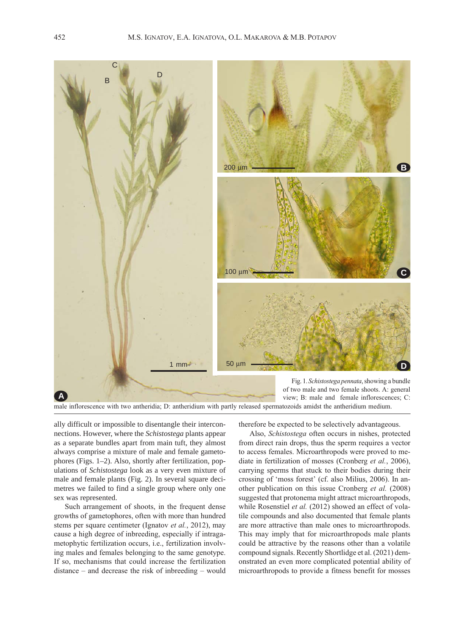

male inflorescence with two antheridia; D: antheridium with partly released spermatozoids amidst the antheridium medium.

ally difficult or impossible to disentangle their interconnections. However, where the *Schistostega* plants appear as a separate bundles apart from main tuft, they almost always comprise a mixture of male and female gametophores (Figs. 1–2). Also, shortly after fertilization, populations of *Schistostega* look as a very even mixture of male and female plants (Fig. 2). In several square decimetres we failed to find a single group where only one sex was represented.

Such arrangement of shoots, in the frequent dense growths of gametophores, often with more than hundred stems per square centimeter (Ignatov et al., 2012), may cause a high degree of inbreeding, especially if intragametophytic fertilization occurs, i.e., fertilization involving males and females belonging to the same genotype. If so, mechanisms that could increase the fertilization distance – and decrease the risk of inbreeding – would

therefore be expected to be selectively advantageous.

Also, Schistostega often occurs in nishes, protected from direct rain drops, thus the sperm requires a vector to access females. Microarthropods were proved to mediate in fertilization of mosses (Cronberg et al., 2006), carrying sperms that stuck to their bodies during their crossing of 'moss forest' (cf. also Milius, 2006). In another publication on this issue Cronberg et al. (2008) suggested that protonema might attract microarthropods, while Rosenstiel et al. (2012) showed an effect of volatile compounds and also documented that female plants are more attractive than male ones to microarthropods. This may imply that for microarthropods male plants could be attractive by the reasons other than a volatile compound signals. Recently Shortlidge et al. (2021) demonstrated an even more complicated potential ability of microarthropods to provide a fitness benefit for mosses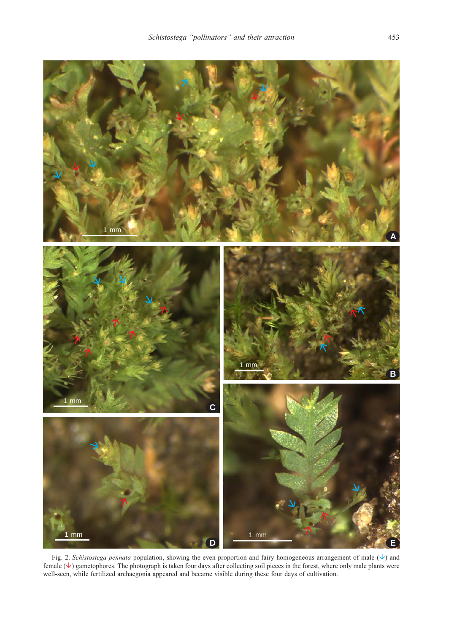

Fig. 2. Schistostega pennata population, showing the even proportion and fairy homogeneous arrangement of male  $(\downarrow)$  and female  $(\vee)$  gametophores. The photograph is taken four days after collecting soil pieces in the forest, where only male plants were well-seen, while fertilized archaegonia appeared and became visible during these four days of cultivation.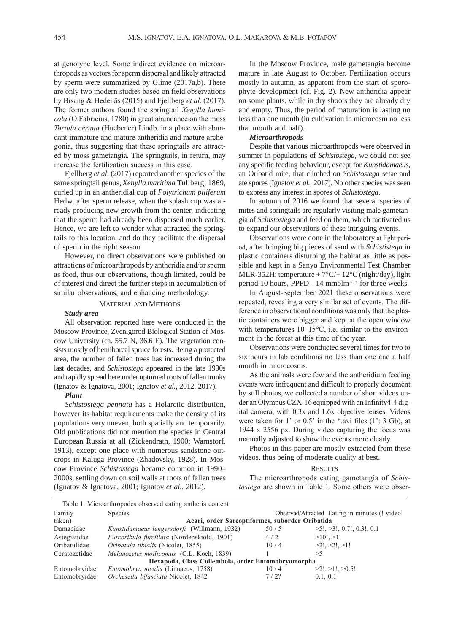at genotype level. Some indirect evidence on microarthropods as vectors for sperm dispersal and likely attracted by sperm were summarized by Glime (2017a,b). There are only two modern studies based on field observations by Bisang & Hedenäs (2015) and Fjellberg et al. (2017). The former authors found the springtail Xenylla humicola (O.Fabricius, 1780) in great abundance on the moss Tortula cernua (Huebener) Lindb. in a place with abundant immature and mature antheridia and mature archegonia, thus suggesting that these springtails are attracted by moss gametangia. The springtails, in return, may increase the fertilization success in this case.

Fjellberg *et al*. (2017) reported another species of the same springtail genus, *Xenylla maritima* Tullberg, 1869, curled up in an antheridial cup of *Polytrichum piliferum* Hedw. after sperm release, when the splash cup was already producing new growth from the center, indicating that the sperm had already been dispersed much earlier. Hence, we are left to wonder what attracted the springtails to this location, and do they facilitate the dispersal of sperm in the right season.

However, no direct observations were published on attractions of microarthropods by antheridia and/or sperm as food, thus our observations, though limited, could be of interest and direct the further steps in accumulation of similar observations, and enhancing methodology.

# MATERIAL AND METHODS

# *Study area*

All observation reported here were conducted in the Moscow Province, Zvenigorod Biological Station of Moscow University (ca. 55.7 N, 36.6 E). The vegetation consists mostly of hemiboreal spruce forests. Being a protected area, the number of fallen trees has increased during the last decades, and *Schistostega* appeared in the late 1990s and rapidly spread here under upturned roots of fallen trunks (Ignatov & Ignatova, 2001; Ignatov *et al.*, 2012, 2017).

# *Plant*

*Schistostega pennata* has a Holarctic distribution, however its habitat requirements make the density of its populations very uneven, both spatially and temporarily. Old publications did not mention the species in Central European Russia at all (Zickendrath, 1900; Warnstorf, 1913), except one place with numerous sandstone outcrops in Kaluga Province (Zhadovsky, 1928). In Moscow Province *Schistostega* became common in 1990– 2000s, settling down on soil walls at roots of fallen trees (Ignatov & Ignatova, 2001; Ignatov *et al.*, 2012).

In the Moscow Province, male gametangia become mature in late August to October. Fertilization occurs mostly in autumn, as apparent from the start of sporophyte development (cf. Fig. 2). New antheridia appear on some plants, while in dry shoots they are already dry and empty. Thus, the period of maturation is lasting no less than one month (in cultivation in microcosm no less that month and half).

# *Microarthropods*

Despite that various microarthropods were observed in summer in populations of *Schistostega*, we could not see any specific feeding behaviour, except for *Kunstidamaeus,* an Oribatid mite, that climbed on *Schistostega* setae and ate spores (Ignatov *et al.*, 2017). No other species was seen to express any interest in spores of *Schistostega*.

In autumn of 2016 we found that several species of mites and springtails are regularly visiting male gametangia of *Schistostega* and feed on them, which motivated us to expand our observations of these intriguing events.

Observations were done in the laboratory at light period, after bringing big pieces of sand with *Schististega* in plastic containers disturbing the habitat as little as possible and kept in a Sanyo Environmental Test Chamber MLR-352H: temperature  $+7^{\circ}C/+12^{\circ}C$  (night/day), light period 10 hours, PPFD - 14 mmolm-2s-1 for three weeks.

In August-September 2021 these observations were repeated, revealing a very similar set of events. The difference in observational conditions was only that the plastic containers were bigger and kept at the open window with temperatures  $10-15\degree C$ , i.e. similar to the environment in the forest at this time of the year.

Observations were conducted several times for two to six hours in lab conditions no less than one and a half month in microcosms.

As the animals were few and the antheridium feeding events were infrequent and difficult to properly document by still photos, we collected a number of short videos under an Olympus CZX-16 equipped with an Infinity4-4 digital camera, with 0.3x and 1.6x objective lenses. Videos were taken for 1' or 0.5' in the \*.avi files (1': 3 Gb), at 1944 x 2556 px. During video capturing the focus was manually adjusted to show the events more clearly.

Photos in this paper are mostly extracted from these videos, thus being of moderate quality at best.

#### **RESULTS**

The microarthropods eating gametangia of Schistostega are shown in Table 1. Some others were obser-

|               | Table 1. Microarthropodes observed eating antheria content |                                               |                                 |
|---------------|------------------------------------------------------------|-----------------------------------------------|---------------------------------|
| Family        | <b>Species</b>                                             | Observad/Attracted Eating in minutes (! video |                                 |
| taken)        | Acari, order Sarcoptiformes, suborder Oribatida            |                                               |                                 |
| Damaeidae     | Kunstidamaeus lengersdorfi (Willmann, 1932)                | 50/5                                          | $>5!$ , $>3!$ , 0.7!, 0.3!, 0.1 |
| Astegistidae  | Furcoribula furcillata (Nordenskiold, 1901)                | 4/2                                           | $>10!$ , $>1!$                  |
| Oribatulidae  | <i>Oribatula tibialis</i> (Nicolet, 1855)                  | 10/4                                          | $>2!$ , $>2!$ , $>1!$           |
| Ceratozetidae | Melanozetes mollicomus (C.L. Koch, 1839)                   |                                               | >5                              |
|               | Hexapoda, Class Collembola, order Entomobryomorpha         |                                               |                                 |
| Entomobryidae | Entomobrya nivalis (Linnaeus, 1758)                        | 10/4                                          | $>2!$ . $>1!$ . $>0.5!$         |
| Entomobryidae | Orchesella bifasciata Nicolet, 1842                        | 7/22                                          | 0.1, 0.1                        |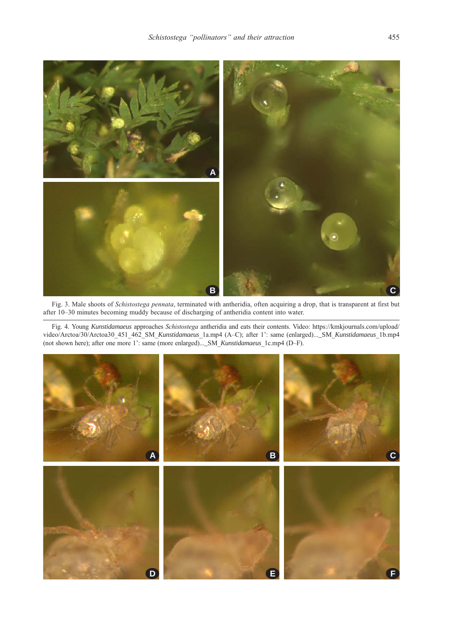

Fig. 3. Male shoots of Schistostega pennata, terminated with antheridia, often acquiring a drop, that is transparent at first but after 10–30 minutes becoming muddy because of discharging of antheridia content into water.

Fig. 4. Young *Kunstidamaeus* approaches Schistostega antheridia and eats their contents. Video: https://kmkjournals.com/upload/ video/Arctoa/30/Arctoa30\_451\_462\_SM\_*Kunstidamaeus*\_1a.mp4 (A–C); after 1': same (enlarged)...\_SM\_*Kunstidamaeus*\_1b.mp4 (not shown here); after one more 1': same (more enlarged)...\_SM\_*Kunstidamaeus*\_1c.mp4 (D–F).

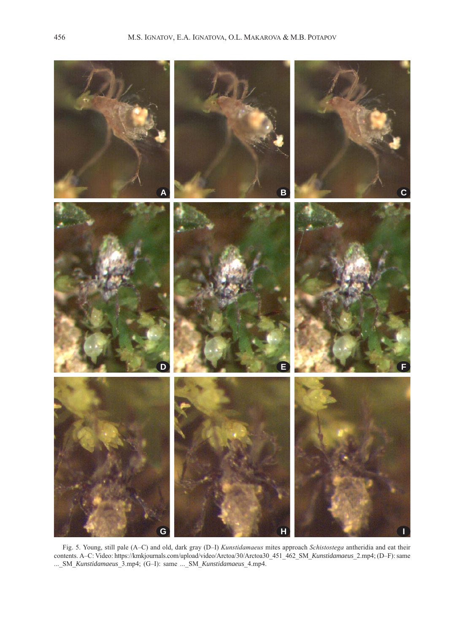

Fig. 5. Young, still pale (A–C) and old, dark gray (D–I) Kunstidamaeus mites approach Schistostega antheridia and eat their contents. A–C: Video: https://kmkjournals.com/upload/video/Arctoa/30/Arctoa30\_451\_462\_SM\_*Kunstidamaeus*\_2.mp4; (D–F): same ...\_SM\_*Kunstidamaeus*\_3.mp4; (G–I): same ...\_SM\_*Kunstidamaeus*\_4.mp4.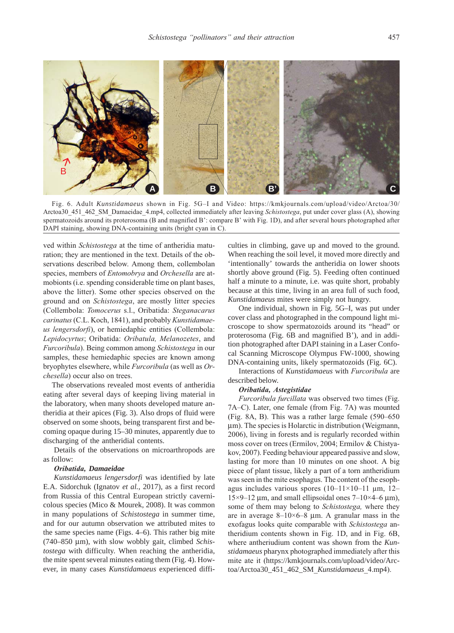

Fig. 6. Adult *Kunstidamaeus* shown in Fig. 5G–I and Video: https://kmkjournals.com/upload/video/Arctoa/30/ Arctoa30\_451\_462\_SM\_Damaeidae\_4.mp4, collected immediately after leaving Schistostega, put under cover glass (A), showing spermatozoids around its proterosoma (B and magnified B': compare B' with Fig. 1D), and after several hours photographed after DAPI staining, showing DNA-containing units (bright cyan in C).

ved within Schistostega at the time of antheridia maturation; they are mentioned in the text. Details of the observations described below. Among them, collembolan species, members of *Entomobrya* and *Orchesella* are atmobionts (i.e. spending considerable time on plant bases, above the litter). Some other species observed on the ground and on Schistostega, are mostly litter species (Collembola: Tomocerus s.l., Oribatida: Steganacarus carinatus (C.L. Koch, 1841), and probably Kunstidamaeus lengersdorfi), or hemiedaphic entities (Collembola: Lepidocyrtus; Oribatida: Oribatula, Melanozetes, and Furcoribula). Being common among Schistostega in our samples, these hemiedaphic species are known among bryophytes elsewhere, while Furcoribula (as well as Orchesella) occur also on trees.

The observations revealed most events of antheridia eating after several days of keeping living material in the laboratory, when many shoots developed mature antheridia at their apices (Fig. 3). Also drops of fluid were observed on some shoots, being transparent first and becoming opaque during 15–30 minutes, apparently due to discharging of the antheridial contents.

Details of the observations on microarthropods are as follow:

### Oribatida, *Damaeidae*

*Kunstidamaeus lengersdorfi* was identified by late E.A. Sidorchuk (Ignatov *et al.*, 2017), as a first record from Russia of this Central European strictly cavernicolous species (Mico & Mourek, 2008). It was common in many populations of *Schistostega* in summer time, and for our autumn observation we attributed mites to the same species name (Figs. 4–6). This rather big mite (740–850 μm), with slow wobbly gait, climbed *Schistostega* with difficulty. When reaching the antheridia, the mite spent several minutes eating them (Fig. 4). However, in many cases *Kunstidamaeus* experienced diffi-

culties in climbing, gave up and moved to the ground. When reaching the soil level, it moved more directly and 'intentionally' towards the antheridia on lower shoots shortly above ground (Fig. 5). Feeding often continued half a minute to a minute, i.e. was quite short, probably because at this time, living in an area full of such food, *Kunstidamaeus* mites were simply not hungry.

One individual, shown in Fig. 5G–I, was put under cover class and photographed in the compound light microscope to show spermatozoids around its "head" or proterosoma (Fig. 6B and magnified B'), and in addition photographed after DAPI staining in a Laser Confocal Scanning Microscope Olympus FW-1000, showing DNA-containing units, likely spermatozoids (Fig. 6C).

Interactions of *Kunstidamaeus* with Furcoribula are described below.

#### Oribatida, Astegistidae

Furcoribula furcillata was observed two times (Fig. 7A–C). Later, one female (from Fig. 7A) was mounted (Fig. 8A, B). This was a rather large female (590–650 μm). The species is Holarctic in distribution (Weigmann, 2006), living in forests and is regularly recorded within moss cover on trees (Ermilov, 2004; Ermilov & Chistyakov, 2007). Feeding behaviour appeared passive and slow, lasting for more than 10 minutes on one shoot. A big piece of plant tissue, likely a part of a torn antheridium was seen in the mite esophagus. The content of the esophagus includes various spores  $(10-11\times10-11 \text{ }\mu\text{m}, 12-11)$  $15\times9-12$  μm, and small ellipsoidal ones  $7-10\times4-6$  μm), some of them may belong to Schistostega, where they are in average  $8-10\times6-8$  µm. A granular mass in the exofagus looks quite comparable with Schistostega antheridium contents shown in Fig. 1D, and in Fig. 6B, where antheriudium content was shown from the *Kunstidamaeus* pharynx photographed immediately after this mite ate it (https://kmkjournals.com/upload/video/Arctoa/Arctoa30\_451\_462\_SM\_*Kunstidamaeus*\_4.mp4).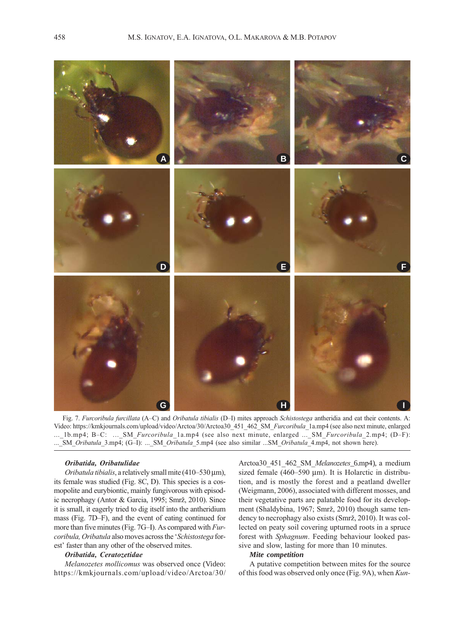

Fig. 7. Furcoribula furcillata (A–C) and Oribatula tibialis (D–I) mites approach Schistostega antheridia and eat their contents. A: Video: https://kmkjournals.com/upload/video/Arctoa/30/Arctoa30\_451\_462\_SM\_Furcoribula\_1a.mp4 (see also next minute, enlarged ...\_1b.mp4; B-C: ...\_SM\_Furcoribula\_1a.mp4 (see also next minute, enlarged ...\_SM\_Furcoribula\_2.mp4; (D-F): ...\_SM\_Oribatula\_3.mp4; (G-I): ...\_SM\_Oribatula\_5.mp4 (see also similar ...SM\_Oribatula\_4.mp4, not shown here).

# Oribatida, Oribatulidae

Oribatula tibialis, a relatively small mite (410–530 μm), its female was studied (Fig. 8C, D). This species is a cosmopolite and eurybiontic, mainly fungivorous with episodic necrophagy (Antor & Garcia, 1995; Smrž, 2010). Since it is small, it eagerly tried to dig itself into the antheridium mass (Fig. 7D–F), and the event of eating continued for more than five minutes (Fig. 7G–I). As compared with Furcoribula, Oribatula also moves across the 'Schistostega forest' faster than any other of the observed mites.

# Oribatida, Ceratozetidae

Melanozetes mollicomus was observed once (Video: https://kmkjournals.com/upload/video/Arctoa/30/

Arctoa30\_451\_462\_SM\_Melanozetes\_6.mp4), a medium sized female (460–590 μm). It is Holarctic in distribution, and is mostly the forest and a peatland dweller (Weigmann, 2006), associated with different mosses, and their vegetative parts are palatable food for its development (Shaldybina, 1967; Smrž, 2010) though same tendency to necrophagy also exists (Smrž, 2010). It was collected on peaty soil covering upturned roots in a spruce forest with Sphagnum. Feeding behaviour looked passive and slow, lasting for more than 10 minutes.

# *Mite competition*

A putative competition between mites for the source of this food was observed only once (Fig. 9A), when Kun-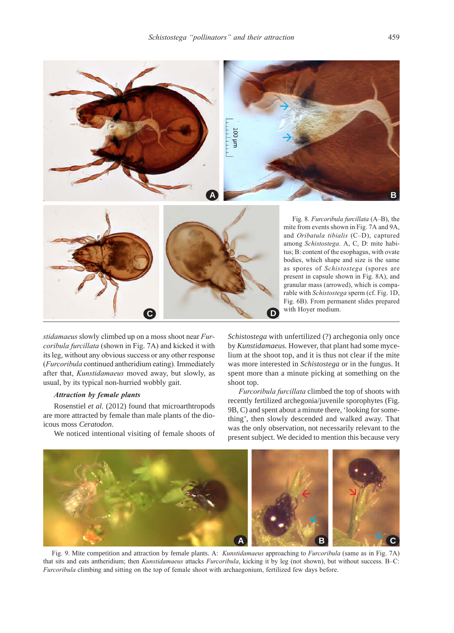

stidamaeus slowly climbed up on a moss shoot near Furcoribula furcillata (shown in Fig. 7A) and kicked it with its leg, without any obvious success or any other response (Furcoribula continued antheridium eating). Immediately after that, Kunstidamaeus moved away, but slowly, as usual, by its typical non-hurried wobbly gait.

**C**

# Attraction by female plants

Rosenstiel *et al.* (2012) found that microarthtropods are more attracted by female than male plants of the dioicous moss *Ceratodon*.

We noticed intentional visiting of female shoots of

*Schistostega* with unfertilized (?) archegonia only once by *Kunstidamaeus.* However, that plant had some mycelium at the shoot top, and it is thus not clear if the mite was more interested in *Schistostega* or in the fungus. It spent more than a minute picking at something on the shoot top.

with Hoyer medium.

**D**

Furcoribula furcillata climbed the top of shoots with recently fertilized archegonia/juvenile sporophytes (Fig. 9B, C) and spent about a minute there, 'looking for something', then slowly descended and walked away. That was the only observation, not necessarily relevant to the present subject. We decided to mention this because very



Fig. 9. Mite competition and attraction by female plants. A: Kunstidamaeus approaching to Furcoribula (same as in Fig. 7A) that sits and eats antheridium; then *Kunstidamaeus* attacks *Furcoribula*, kicking it by leg (not shown), but without success. B–C: Furcoribula climbing and sitting on the top of female shoot with archaegonium, fertilized few days before.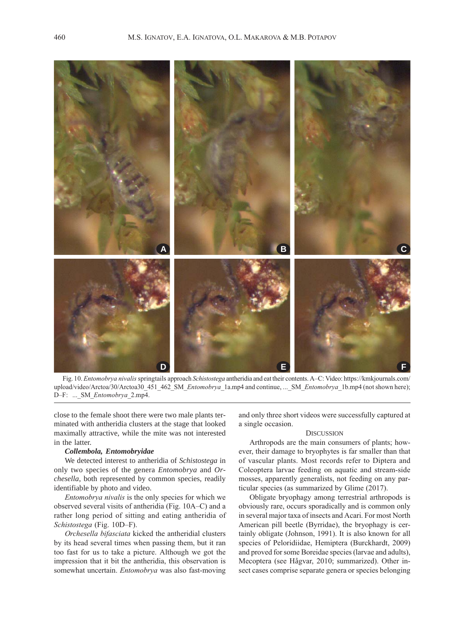

Fig. 10. Entomobrya nivalis springtails approach Schistostega antheridia and eat their contents. A–C: Video: https://kmkjournals.com/ upload/video/Arctoa/30/Arctoa30\_451\_462\_SM\_Entomobrya\_1a.mp4 and continue, ...\_SM\_Entomobrya\_1b.mp4 (not shown here); D-F: ... SM Entomobrya 2.mp4.

close to the female shoot there were two male plants terminated with antheridia clusters at the stage that looked maximally attractive, while the mite was not interested in the latter.

## *Collembola, Entomobryidae*

We detected interest to antheridia of *Schistostega* in only two species of the genera *Entomobrya* and *Orchesella*, both represented by common species, readily identifiable by photo and video.

Entomobrya nivalis is the only species for which we observed several visits of antheridia (Fig. 10A–C) and a rather long period of sitting and eating antheridia of Schistostega (Fig. 10D–F).

Orchesella bifasciata kicked the antheridial clusters by its head several times when passing them, but it ran too fast for us to take a picture. Although we got the impression that it bit the antheridia, this observation is somewhat uncertain. Entomobrya was also fast-moving

and only three short videos were successfully captured at a single occasion.

## **DISCUSSION**

Arthropods are the main consumers of plants; however, their damage to bryophytes is far smaller than that of vascular plants. Most records refer to Diptera and Coleoptera larvae feeding on aquatic and stream-side mosses, apparently generalists, not feeding on any particular species (as summarized by Glime (2017).

Obligate bryophagy among terrestrial arthropods is obviously rare, occurs sporadically and is common only in several major taxa of insects and Acari. For most North American pill beetle (Byrridae), the bryophagy is certainly obligate (Johnson, 1991). It is also known for all species of Peloridiidae, Hemiptera (Burckhardt, 2009) and proved for some Boreidae species (larvae and adults), Mecoptera (see Hågvar, 2010; summarized). Other insect cases comprise separate genera or species belonging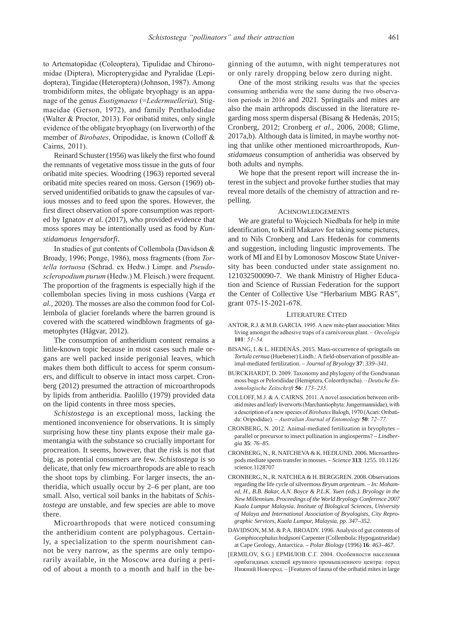to Artematopidae (Coleoptera), Tipulidae and Chironomidae (Diptera), Micropterygidae and Pyralidae (Lepidoptera), Tingidae (Heteroptera) (Johnson, 1987). Among trombidiform mites, the obligate bryophagy is an appanage of the genus Eustigmaeus (=Ledermuelleria), Stigmaeidae (Gerson, 1972), and family Penthalodidae (Walter & Proctor, 2013). For oribatid mites, only single evidence of the obligate bryophagy (on liverworth) of the member of Birobates, Oripodidae, is known (Colloff & Cairns, 2011).

Reinard Schuster (1956) was likely the first who found the remnants of vegetative moss tissue in the guts of four oribatid mite species. Woodring (1963) reported several oribatid mite species reared on moss. Gerson (1969) observed unidentified oribatids to gnaw the capsules of various mosses and to feed upon the spores. However, the first direct observation of spore consumption was reported by Ignatov *et al.* (2017), who provided evidence that moss spores may be intentionally used as food by *Kunstidamaeus lengersdorfi.*

In studies of gut contents of Collembola (Davidson & Broady, 1996; Ponge, 1986), moss fragments (from Tortella tortuosa (Schrad. ex Hedw.) Limpr. and Pseudoscleropodium purum (Hedw.) M. Fleisch.) were frequent. The proportion of the fragments is especially high if the collembolan species living in moss cushions (Varga *et al.*, 2020). The mosses are also the common food for Collembola of glacier forelands where the barren ground is covered with the scattered windblown fragments of gametophytes (Hågvar, 2012).

The consumption of antheridium content remains a little-known topic because in most cases such male organs are well packed inside perigonial leaves, which makes them both difficult to access for sperm consumers, and difficult to observe in intact moss carpet. Cronberg (2012) presumed the attraction of microarthropods by lipids from antheridia. Paolillo (1979) provided data on the lipid contents in three moss species.

*Schistostega* is an exceptional moss, lacking the mentioned inconvenience for observations. It is simply surprising how these tiny plants expose their male gamentangia with the substance so crucially important for procreation. It seems, however, that the risk is not that big, as potential consumers are few. *Schistostega* is so delicate, that only few microarthropods are able to reach the shoot tops by climbing. For larger insects, the antheridia, which usually occur by 2–6 per plant, are too small. Also, vertical soil banks in the habitats of *Schistostega* are unstable, and few species are able to move there.

Microarthropods that were noticed consuming the antheridium content are polyphagous. Certainly, a specialization to the sperm nourishment cannot be very narrow, as the sperms are only temporarily available, in the Moscow area during a period of about a month to a month and half in the beginning of the autumn, with night temperatures not or only rarely dropping below zero during night.

One of the most striking results was that the species consuming antheridia were the same during the two observation periods in 2016 and 2021. Springtails and mites are also the main arthropods discussed in the literature regarding moss sperm dispersal (Bisang & Hedenäs, 2015; Cronberg, 2012; Cronberg *et al*., 2006, 2008; Glime, 2017a,b). Although data is limited, in maybe worthy noting that unlike other mentioned microarthropods, *Kunstidamaeus* consumption of antheridia was observed by both adults and nymphs.

We hope that the present report will increase the interest in the subject and provoke further studies that may reveal more details of the chemistry of attraction and repelling.

# ACHNOWLEDGEMENTS

We are grateful to Wojciech Niedbala for help in mite identification, to Kirill Makarov for taking some pictures, and to Nils Cronberg and Lars Hedenäs for comments and suggestion, including lingustic improvements. The work of MI and EI by Lomonosov Moscow State University has been conducted under state assignment no. 121032500090-7. We thank Ministry of Higher Education and Science of Russian Federation for the support the Center of Collective Use "Herbarium MBG RAS", grant 075-15-2021-678.

#### LITERATURE CITED

- ANTOR, R.J. & M.B. GARCIA. 1995. A new mite-plant association: Mites living amongst the adhesive traps of a carnivorous plant. – Oecologia  $101: 51 - 54.$
- BISANG, I. & L. HEDENÄS. 2015. Mass-occurrence of springtails on *Tortula cernua* (Huebener) Lindb.: A field-observation of possible animal-mediated fertilization. – *Journal of Bryology* **37**: *339–341*.
- BURCKHARDT, D. 2009. Taxonomy and phylogeny of the Gondwanan moss bugs or Peloridiidae (Hemiptera, Coleorrhyncha). – Deutsche Entomologische Zeitschrift 56: 173–235.
- COLLOFF, M.J. & A. CAIRNS. 2011. A novel association between oribatid mites and leafy liverworts (Marchantiophyta: Jungermanniidae), with a description of a new species of Birobates Balogh, 1970 (Acari: Oribatida: Oripodidae). – Australian Journal of Entomology 50: 72–77.
- CRONBERG, N. 2012. Animal-mediated fertilization in bryophytes parallel or precursor to insect pollination in angiosperms? – *Lindbergia* **35**: *76–85.*
- CRONBERG, N., R. NATCHEVA & K. HEDLUND. 2006. Microarthropods mediate sperm transfer in mosses. – *Science* **313**: 1255. 10.1126/ science.1128707
- CRONBERG, N., R. NATCHEA & H. BERGGREN. 2008. Observations regarding the life cycle of silvermoss *Bryum argenteum*. – *In: Mohamed, H., B.B. Bakar, A.N. Boyce & P.L.K. Yuen (eds.). Bryology in the New Millennium. Proceedings of the World Bryology Conference 2007 Kuala Lumpur Malaysia. Institute of Biological Sciences, University of Malaya and International Association of Bryologists, City Reprographic Services, Kuala Lumpur, Malaysia, pp. 347–352.*
- DAVIDSON, M.M. & P.A. BROADY. 1996. Analysis of gut contents of *Gomphiocephalus hodgsoni* Carpenter (Collembola: Hypogastruridae) at Cape Geology, Antarctica. – *Polar Biology* (1996) **16**: *463–467.*
- [ERMILOV, S.G.] ЕРМИЛОВ С.Г. 2004. Особенности населения орибатидных клещей крупного промышленного центра: город Нижний Новгород. – [Features of fauna of the oribatid mites in large